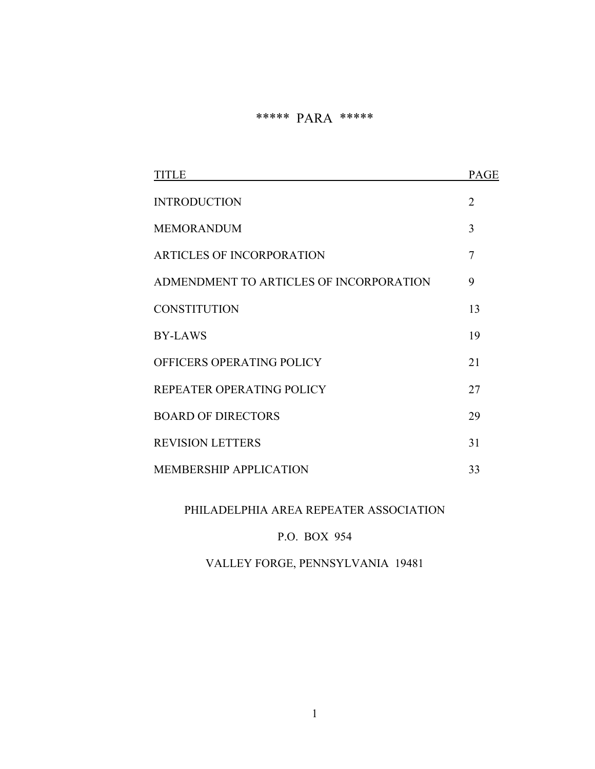# \*\*\*\*\* PARA \*\*\*\*\*

| TITLE                                   | <b>PAGE</b>    |
|-----------------------------------------|----------------|
| <b>INTRODUCTION</b>                     | $\overline{2}$ |
| <b>MEMORANDUM</b>                       | 3              |
| <b>ARTICLES OF INCORPORATION</b>        | 7              |
| ADMENDMENT TO ARTICLES OF INCORPORATION | 9              |
| <b>CONSTITUTION</b>                     | 13             |
| <b>BY-LAWS</b>                          | 19             |
| OFFICERS OPERATING POLICY               | 21             |
| REPEATER OPERATING POLICY               | 27             |
| <b>BOARD OF DIRECTORS</b>               | 29             |
| <b>REVISION LETTERS</b>                 | 31             |
| <b>MEMBERSHIP APPLICATION</b>           | 33             |

# PHILADELPHIA AREA REPEATER ASSOCIATION

# P.O. BOX 954

# VALLEY FORGE, PENNSYLVANIA 19481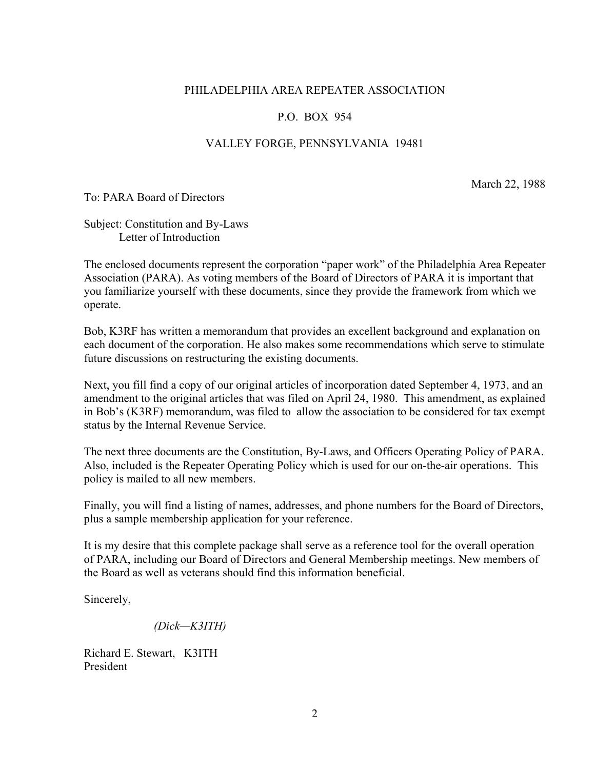### PHILADELPHIA AREA REPEATER ASSOCIATION

### P.O. BOX 954

### VALLEY FORGE, PENNSYLVANIA 19481

March 22, 1988

To: PARA Board of Directors

Subject: Constitution and By-Laws Letter of Introduction

The enclosed documents represent the corporation "paper work" of the Philadelphia Area Repeater Association (PARA). As voting members of the Board of Directors of PARA it is important that you familiarize yourself with these documents, since they provide the framework from which we operate.

Bob, K3RF has written a memorandum that provides an excellent background and explanation on each document of the corporation. He also makes some recommendations which serve to stimulate future discussions on restructuring the existing documents.

Next, you fill find a copy of our original articles of incorporation dated September 4, 1973, and an amendment to the original articles that was filed on April 24, 1980. This amendment, as explained in Bob's (K3RF) memorandum, was filed to allow the association to be considered for tax exempt status by the Internal Revenue Service.

The next three documents are the Constitution, By-Laws, and Officers Operating Policy of PARA. Also, included is the Repeater Operating Policy which is used for our on-the-air operations. This policy is mailed to all new members.

Finally, you will find a listing of names, addresses, and phone numbers for the Board of Directors, plus a sample membership application for your reference.

It is my desire that this complete package shall serve as a reference tool for the overall operation of PARA, including our Board of Directors and General Membership meetings. New members of the Board as well as veterans should find this information beneficial.

Sincerely,

*(Dick—K3ITH)* 

Richard E. Stewart, K3ITH President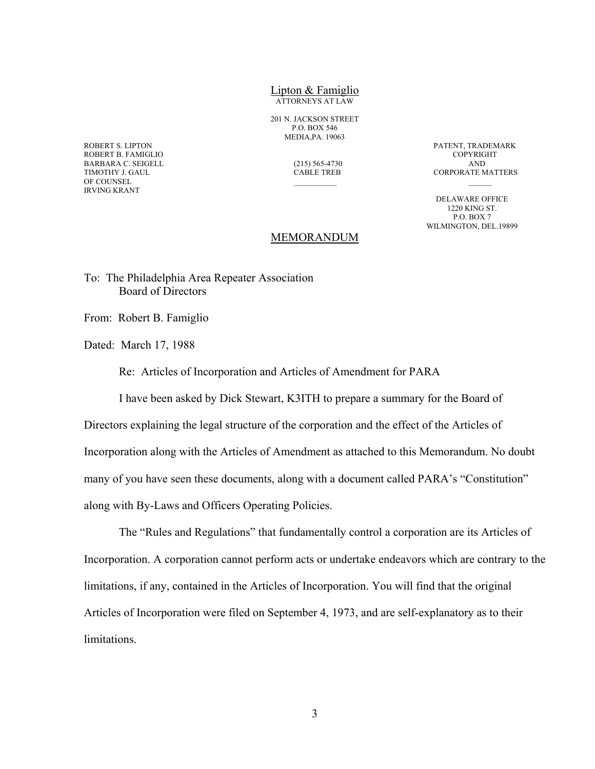### Lipton & Famiglio ATTORNEYS AT LAW

201 N. JACKSON STREET P.O. BOX 546 MEDIA,PA. 19063

ROBERT S. LIPTON PATENT, TRADEMARK ROBERT B. FAMIGLIO BARBARA C. SEIGELL (215) 565-4730 AND OF COUNSEL IRVING KRANT

CORPORATE MATTERS

 DELAWARE OFFICE 1220 KING ST. P.O. BOX 7 WILMINGTON, DEL.19899

### MEMORANDUM

To: The Philadelphia Area Repeater Association Board of Directors

From: Robert B. Famiglio

Dated: March 17, 1988

Re: Articles of Incorporation and Articles of Amendment for PARA

I have been asked by Dick Stewart, K3ITH to prepare a summary for the Board of

Directors explaining the legal structure of the corporation and the effect of the Articles of Incorporation along with the Articles of Amendment as attached to this Memorandum. No doubt many of you have seen these documents, along with a document called PARA's "Constitution" along with By-Laws and Officers Operating Policies.

 The "Rules and Regulations" that fundamentally control a corporation are its Articles of Incorporation. A corporation cannot perform acts or undertake endeavors which are contrary to the limitations, if any, contained in the Articles of Incorporation. You will find that the original Articles of Incorporation were filed on September 4, 1973, and are self-explanatory as to their limitations.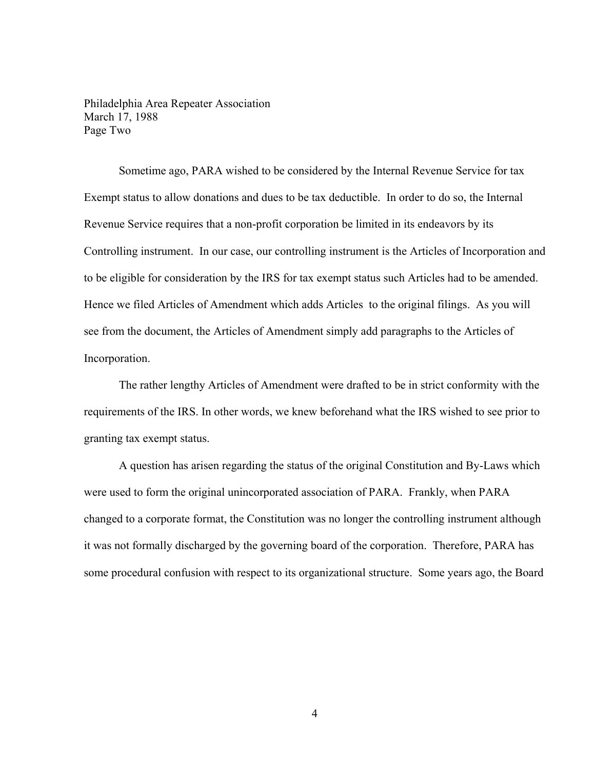Philadelphia Area Repeater Association March 17, 1988 Page Two

 Sometime ago, PARA wished to be considered by the Internal Revenue Service for tax Exempt status to allow donations and dues to be tax deductible. In order to do so, the Internal Revenue Service requires that a non-profit corporation be limited in its endeavors by its Controlling instrument. In our case, our controlling instrument is the Articles of Incorporation and to be eligible for consideration by the IRS for tax exempt status such Articles had to be amended. Hence we filed Articles of Amendment which adds Articles to the original filings. As you will see from the document, the Articles of Amendment simply add paragraphs to the Articles of Incorporation.

 The rather lengthy Articles of Amendment were drafted to be in strict conformity with the requirements of the IRS. In other words, we knew beforehand what the IRS wished to see prior to granting tax exempt status.

 A question has arisen regarding the status of the original Constitution and By-Laws which were used to form the original unincorporated association of PARA. Frankly, when PARA changed to a corporate format, the Constitution was no longer the controlling instrument although it was not formally discharged by the governing board of the corporation. Therefore, PARA has some procedural confusion with respect to its organizational structure. Some years ago, the Board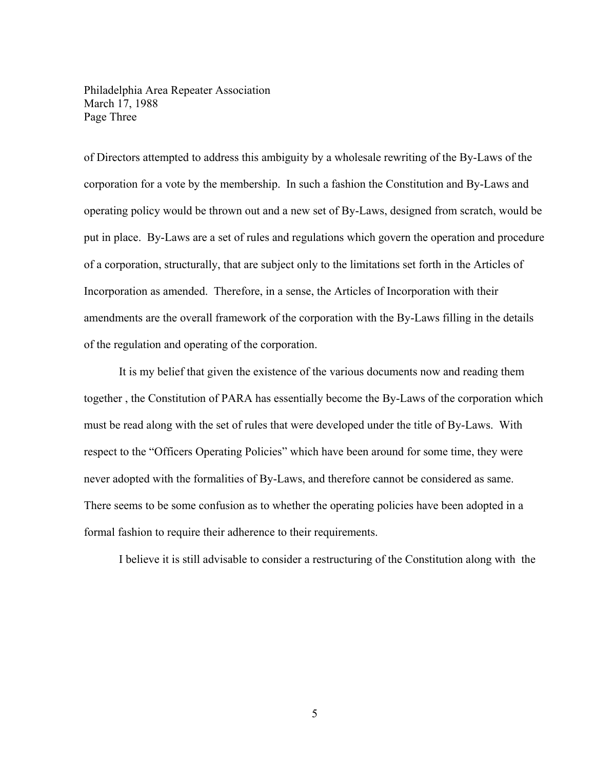Philadelphia Area Repeater Association March 17, 1988 Page Three

of Directors attempted to address this ambiguity by a wholesale rewriting of the By-Laws of the corporation for a vote by the membership. In such a fashion the Constitution and By-Laws and operating policy would be thrown out and a new set of By-Laws, designed from scratch, would be put in place. By-Laws are a set of rules and regulations which govern the operation and procedure of a corporation, structurally, that are subject only to the limitations set forth in the Articles of Incorporation as amended. Therefore, in a sense, the Articles of Incorporation with their amendments are the overall framework of the corporation with the By-Laws filling in the details of the regulation and operating of the corporation.

 It is my belief that given the existence of the various documents now and reading them together , the Constitution of PARA has essentially become the By-Laws of the corporation which must be read along with the set of rules that were developed under the title of By-Laws. With respect to the "Officers Operating Policies" which have been around for some time, they were never adopted with the formalities of By-Laws, and therefore cannot be considered as same. There seems to be some confusion as to whether the operating policies have been adopted in a formal fashion to require their adherence to their requirements.

I believe it is still advisable to consider a restructuring of the Constitution along with the

5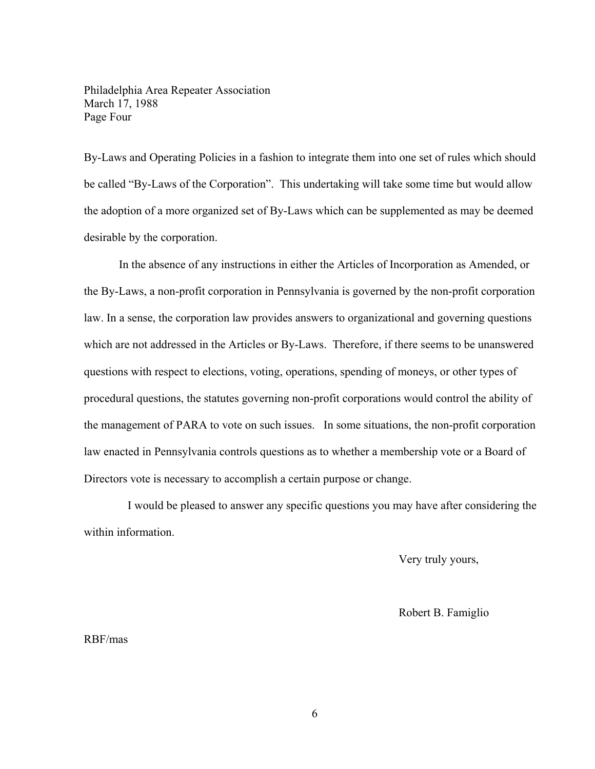Philadelphia Area Repeater Association March 17, 1988 Page Four

By-Laws and Operating Policies in a fashion to integrate them into one set of rules which should be called "By-Laws of the Corporation". This undertaking will take some time but would allow the adoption of a more organized set of By-Laws which can be supplemented as may be deemed desirable by the corporation.

 In the absence of any instructions in either the Articles of Incorporation as Amended, or the By-Laws, a non-profit corporation in Pennsylvania is governed by the non-profit corporation law. In a sense, the corporation law provides answers to organizational and governing questions which are not addressed in the Articles or By-Laws. Therefore, if there seems to be unanswered questions with respect to elections, voting, operations, spending of moneys, or other types of procedural questions, the statutes governing non-profit corporations would control the ability of the management of PARA to vote on such issues. In some situations, the non-profit corporation law enacted in Pennsylvania controls questions as to whether a membership vote or a Board of Directors vote is necessary to accomplish a certain purpose or change.

 I would be pleased to answer any specific questions you may have after considering the within information.

Very truly yours,

Robert B. Famiglio

RBF/mas

6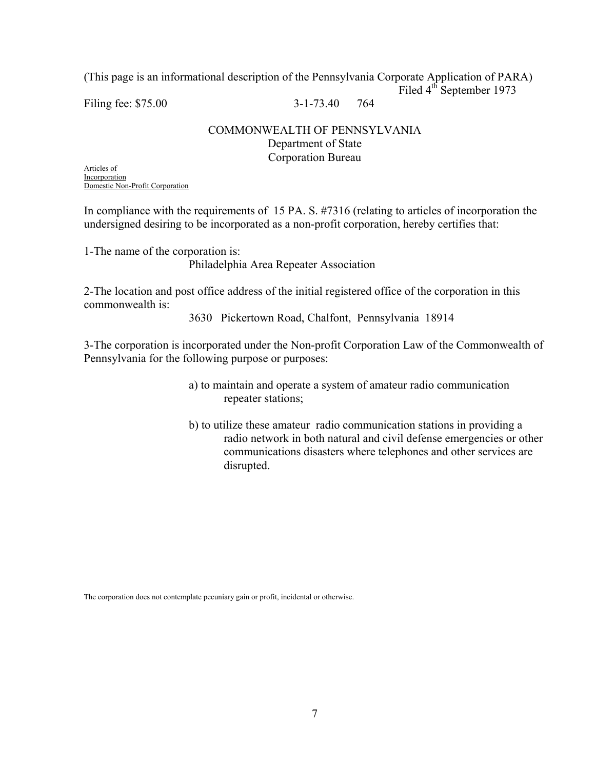(This page is an informational description of the Pennsylvania Corporate Application of PARA) Filed 4<sup>th</sup> September 1973

Filing fee: \$75.00 3-1-73.40 764

## COMMONWEALTH OF PENNSYLVANIA Department of State Corporation Bureau

Articles of Incorporation Domestic Non-Profit Corporation

In compliance with the requirements of 15 PA. S. #7316 (relating to articles of incorporation the undersigned desiring to be incorporated as a non-profit corporation, hereby certifies that:

1-The name of the corporation is: Philadelphia Area Repeater Association

2-The location and post office address of the initial registered office of the corporation in this commonwealth is:

3630 Pickertown Road, Chalfont, Pennsylvania 18914

3-The corporation is incorporated under the Non-profit Corporation Law of the Commonwealth of Pennsylvania for the following purpose or purposes:

- a) to maintain and operate a system of amateur radio communication repeater stations;
- b) to utilize these amateur radio communication stations in providing a radio network in both natural and civil defense emergencies or other communications disasters where telephones and other services are disrupted.

The corporation does not contemplate pecuniary gain or profit, incidental or otherwise.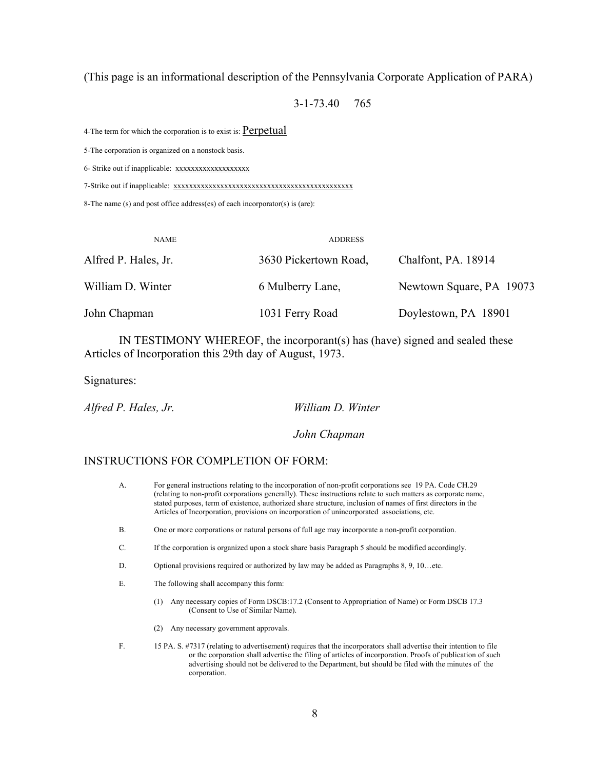### (This page is an informational description of the Pennsylvania Corporate Application of PARA)

3-1-73.40 765

4-The term for which the corporation is to exist is: Perpetual

5-The corporation is organized on a nonstock basis.

6- Strike out if inapplicable: xxxxxxxxxxxxxxxxxx

7-Strike out if inapplicable: xxxxxxxxxxxxxxxxxxxxxxxxxxxxxxxxxxxxxxxxxxxxxx

8-The name (s) and post office address(es) of each incorporator(s) is (are):

| <b>NAME</b>          | <b>ADDRESS</b>        |                          |
|----------------------|-----------------------|--------------------------|
| Alfred P. Hales, Jr. | 3630 Pickertown Road, | Chalfont, PA. 18914      |
| William D. Winter    | 6 Mulberry Lane,      | Newtown Square, PA 19073 |
| John Chapman         | 1031 Ferry Road       | Doylestown, PA 18901     |

 IN TESTIMONY WHEREOF, the incorporant(s) has (have) signed and sealed these Articles of Incorporation this 29th day of August, 1973.

Signatures:

*Alfred P. Hales, Jr. William D. Winter* 

 *John Chapman* 

### INSTRUCTIONS FOR COMPLETION OF FORM:

- A. For general instructions relating to the incorporation of non-profit corporations see 19 PA. Code CH.29 (relating to non-profit corporations generally). These instructions relate to such matters as corporate name, stated purposes, term of existence, authorized share structure, inclusion of names of first directors in the Articles of Incorporation, provisions on incorporation of unincorporated associations, etc.
- B. One or more corporations or natural persons of full age may incorporate a non-profit corporation.
- C. If the corporation is organized upon a stock share basis Paragraph 5 should be modified accordingly.
- D. Optional provisions required or authorized by law may be added as Paragraphs 8, 9, 10…etc.
- E. The following shall accompany this form:
	- (1) Any necessary copies of Form DSCB:17.2 (Consent to Appropriation of Name) or Form DSCB 17.3 (Consent to Use of Similar Name).
	- (2) Any necessary government approvals.
- F. 15 PA. S. #7317 (relating to advertisement) requires that the incorporators shall advertise their intention to file or the corporation shall advertise the filing of articles of incorporation. Proofs of publication of such advertising should not be delivered to the Department, but should be filed with the minutes of the corporation.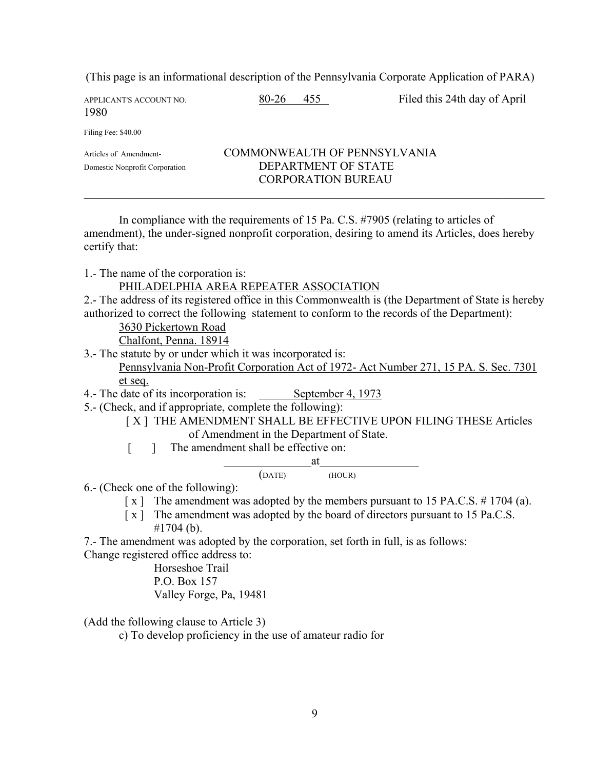(This page is an informational description of the Pennsylvania Corporate Application of PARA)

| APPLICANT'S ACCOUNT NO.<br>1980                          | 80-26<br>455                                                                     | Filed this 24th day of April |
|----------------------------------------------------------|----------------------------------------------------------------------------------|------------------------------|
| Filing Fee: \$40.00                                      |                                                                                  |                              |
| Articles of Amendment-<br>Domestic Nonprofit Corporation | COMMONWEALTH OF PENNSYLVANIA<br>DEPARTMENT OF STATE<br><b>CORPORATION BUREAU</b> |                              |

 In compliance with the requirements of 15 Pa. C.S. #7905 (relating to articles of amendment), the under-signed nonprofit corporation, desiring to amend its Articles, does hereby certify that:

1.- The name of the corporation is:

### PHILADELPHIA AREA REPEATER ASSOCIATION

2.- The address of its registered office in this Commonwealth is (the Department of State is hereby authorized to correct the following statement to conform to the records of the Department):

3630 Pickertown Road

Chalfont, Penna. 18914

3.- The statute by or under which it was incorporated is:

 Pennsylvania Non-Profit Corporation Act of 1972- Act Number 271, 15 PA. S. Sec. 7301 et seq.

- 4.- The date of its incorporation is: September 4, 1973
- 5.- (Check, and if appropriate, complete the following):

[ X ] THE AMENDMENT SHALL BE EFFECTIVE UPON FILING THESE Articles of Amendment in the Department of State.

[ ] The amendment shall be effective on:

$$
\underbrace{\qquad \qquad \text{at} \qquad \qquad}_{\text{(DATE)}} \qquad \qquad \text{at} \qquad \qquad}_{\text{(HOUR)}}
$$

6.- (Check one of the following):

- [ x ] The amendment was adopted by the members pursuant to 15 PA.C.S. # 1704 (a).
- [ $x$ ] The amendment was adopted by the board of directors pursuant to 15 Pa.C.S.

#1704 (b).

7.- The amendment was adopted by the corporation, set forth in full, is as follows: Change registered office address to:

 Horseshoe Trail P.O. Box 157 Valley Forge, Pa, 19481

(Add the following clause to Article 3)

c) To develop proficiency in the use of amateur radio for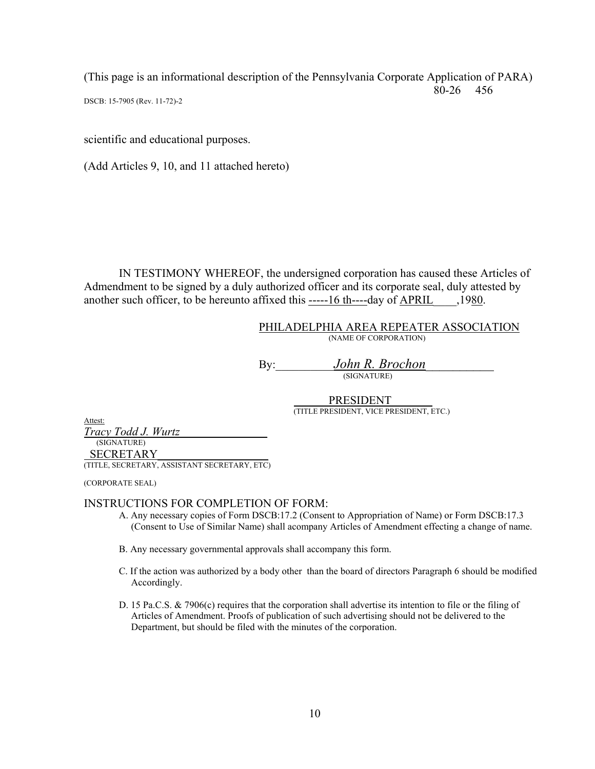(This page is an informational description of the Pennsylvania Corporate Application of PARA) 80-26 456

DSCB: 15-7905 (Rev. 11-72)-2

scientific and educational purposes.

(Add Articles 9, 10, and 11 attached hereto)

 IN TESTIMONY WHEREOF, the undersigned corporation has caused these Articles of Admendment to be signed by a duly authorized officer and its corporate seal, duly attested by another such officer, to be hereunto affixed this -----16 th----day of APRIL\_\_\_\_,1980.

> PHILADELPHIA AREA REPEATER ASSOCIATION (NAME OF CORPORATION)

By:\_\_\_\_\_\_\_\_\_\_*John R. Brochon\_\_\_\_\_\_\_\_\_\_* (SIGNATURE)

PRESIDENT (TITLE PRESIDENT, VICE PRESIDENT, ETC.)

Attest:

*Tracy Todd J. Wurtz\_\_\_\_\_\_\_\_\_\_\_\_\_\_\_* (SIGNATURE) SECRETARY\_\_\_\_\_\_\_\_\_\_\_\_\_\_\_\_\_\_\_ (TITLE, SECRETARY, ASSISTANT SECRETARY, ETC)

(CORPORATE SEAL)

### INSTRUCTIONS FOR COMPLETION OF FORM:

- A. Any necessary copies of Form DSCB:17.2 (Consent to Appropriation of Name) or Form DSCB:17.3 (Consent to Use of Similar Name) shall acompany Articles of Amendment effecting a change of name.
- B. Any necessary governmental approvals shall accompany this form.
- C. If the action was authorized by a body other than the board of directors Paragraph 6 should be modified Accordingly.
- D. 15 Pa.C.S. & 7906(c) requires that the corporation shall advertise its intention to file or the filing of Articles of Amendment. Proofs of publication of such advertising should not be delivered to the Department, but should be filed with the minutes of the corporation.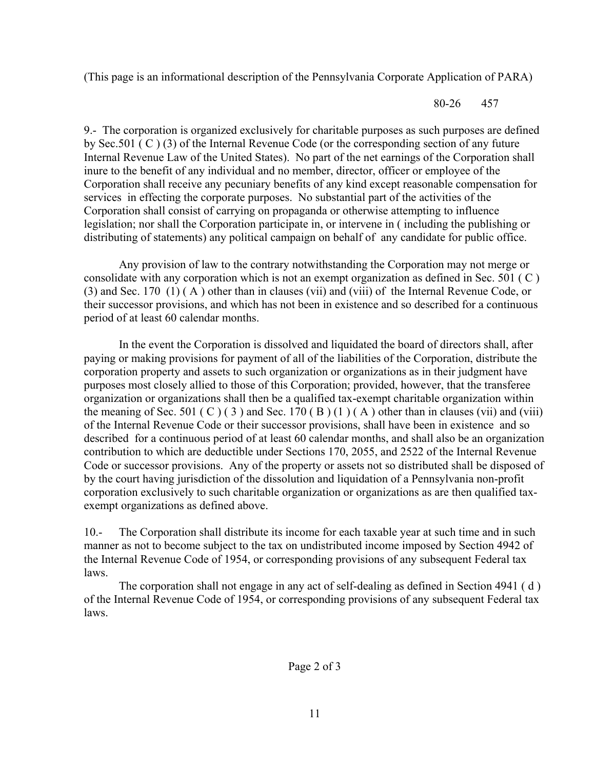(This page is an informational description of the Pennsylvania Corporate Application of PARA)

80-26 457

9.- The corporation is organized exclusively for charitable purposes as such purposes are defined by Sec.501 ( C ) (3) of the Internal Revenue Code (or the corresponding section of any future Internal Revenue Law of the United States). No part of the net earnings of the Corporation shall inure to the benefit of any individual and no member, director, officer or employee of the Corporation shall receive any pecuniary benefits of any kind except reasonable compensation for services in effecting the corporate purposes. No substantial part of the activities of the Corporation shall consist of carrying on propaganda or otherwise attempting to influence legislation; nor shall the Corporation participate in, or intervene in ( including the publishing or distributing of statements) any political campaign on behalf of any candidate for public office.

 Any provision of law to the contrary notwithstanding the Corporation may not merge or consolidate with any corporation which is not an exempt organization as defined in Sec. 501 ( C ) (3) and Sec. 170 (1) ( A ) other than in clauses (vii) and (viii) of the Internal Revenue Code, or their successor provisions, and which has not been in existence and so described for a continuous period of at least 60 calendar months.

 In the event the Corporation is dissolved and liquidated the board of directors shall, after paying or making provisions for payment of all of the liabilities of the Corporation, distribute the corporation property and assets to such organization or organizations as in their judgment have purposes most closely allied to those of this Corporation; provided, however, that the transferee organization or organizations shall then be a qualified tax-exempt charitable organization within the meaning of Sec. 501 (C)(3) and Sec. 170 (B)(1)(A) other than in clauses (vii) and (viii) of the Internal Revenue Code or their successor provisions, shall have been in existence and so described for a continuous period of at least 60 calendar months, and shall also be an organization contribution to which are deductible under Sections 170, 2055, and 2522 of the Internal Revenue Code or successor provisions. Any of the property or assets not so distributed shall be disposed of by the court having jurisdiction of the dissolution and liquidation of a Pennsylvania non-profit corporation exclusively to such charitable organization or organizations as are then qualified taxexempt organizations as defined above.

10.- The Corporation shall distribute its income for each taxable year at such time and in such manner as not to become subject to the tax on undistributed income imposed by Section 4942 of the Internal Revenue Code of 1954, or corresponding provisions of any subsequent Federal tax laws.

 The corporation shall not engage in any act of self-dealing as defined in Section 4941 ( d ) of the Internal Revenue Code of 1954, or corresponding provisions of any subsequent Federal tax laws.

Page 2 of 3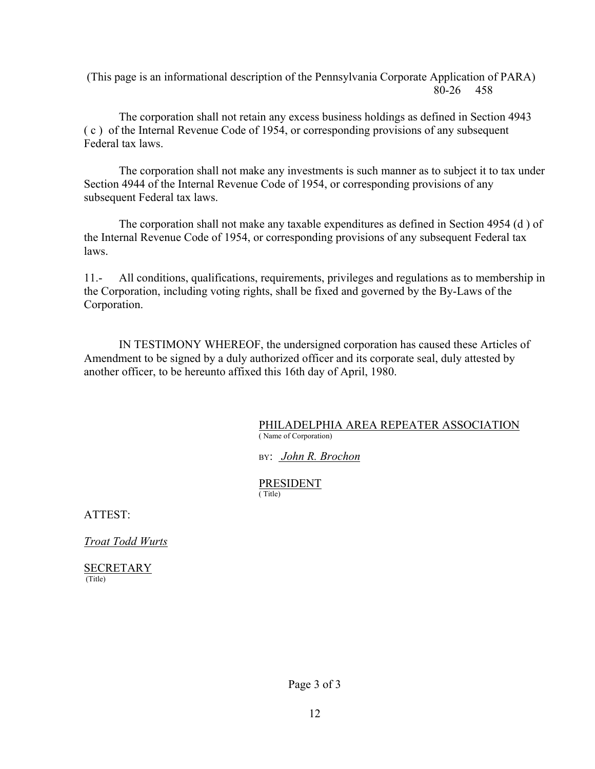(This page is an informational description of the Pennsylvania Corporate Application of PARA) 80-26 458

The corporation shall not retain any excess business holdings as defined in Section 4943 ( c ) of the Internal Revenue Code of 1954, or corresponding provisions of any subsequent Federal tax laws.

 The corporation shall not make any investments is such manner as to subject it to tax under Section 4944 of the Internal Revenue Code of 1954, or corresponding provisions of any subsequent Federal tax laws.

 The corporation shall not make any taxable expenditures as defined in Section 4954 (d ) of the Internal Revenue Code of 1954, or corresponding provisions of any subsequent Federal tax laws.

11.- All conditions, qualifications, requirements, privileges and regulations as to membership in the Corporation, including voting rights, shall be fixed and governed by the By-Laws of the Corporation.

 IN TESTIMONY WHEREOF, the undersigned corporation has caused these Articles of Amendment to be signed by a duly authorized officer and its corporate seal, duly attested by another officer, to be hereunto affixed this 16th day of April, 1980.

### PHILADELPHIA AREA REPEATER ASSOCIATION ( Name of Corporation)

### BY: *John R. Brochon*

### PRESIDENT<br>(Title) ( Title)

ATTEST:

*Troat Todd Wurts*

**SECRETARY** (Title)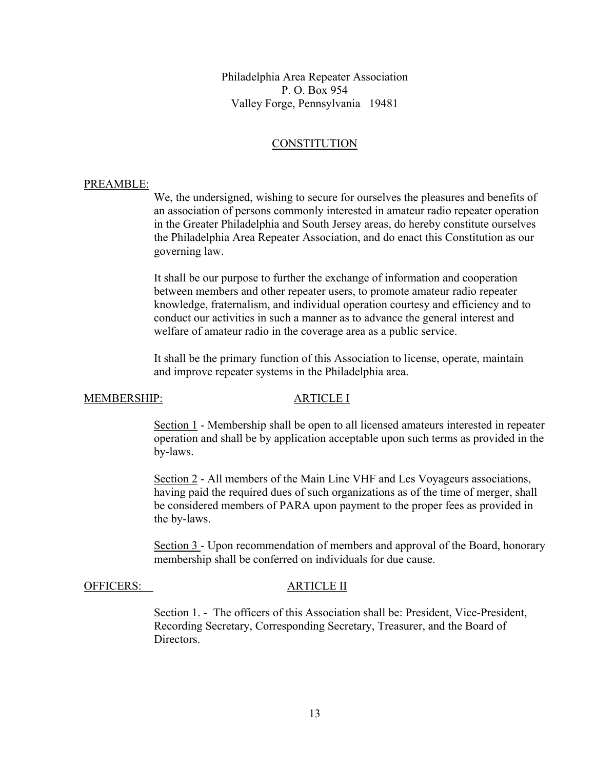Philadelphia Area Repeater Association P. O. Box 954 Valley Forge, Pennsylvania 19481

### **CONSTITUTION**

### PREAMBLE:

We, the undersigned, wishing to secure for ourselves the pleasures and benefits of an association of persons commonly interested in amateur radio repeater operation in the Greater Philadelphia and South Jersey areas, do hereby constitute ourselves the Philadelphia Area Repeater Association, and do enact this Constitution as our governing law.

It shall be our purpose to further the exchange of information and cooperation between members and other repeater users, to promote amateur radio repeater knowledge, fraternalism, and individual operation courtesy and efficiency and to conduct our activities in such a manner as to advance the general interest and welfare of amateur radio in the coverage area as a public service.

 It shall be the primary function of this Association to license, operate, maintain and improve repeater systems in the Philadelphia area.

### MEMBERSHIP: ARTICLE I

Section 1 - Membership shall be open to all licensed amateurs interested in repeater operation and shall be by application acceptable upon such terms as provided in the by-laws.

Section 2 - All members of the Main Line VHF and Les Voyageurs associations, having paid the required dues of such organizations as of the time of merger, shall be considered members of PARA upon payment to the proper fees as provided in the by-laws.

Section 3 - Upon recommendation of members and approval of the Board, honorary membership shall be conferred on individuals for due cause.

### OFFICERS: ARTICLE II

 Section 1. - The officers of this Association shall be: President, Vice-President, Recording Secretary, Corresponding Secretary, Treasurer, and the Board of **Directors**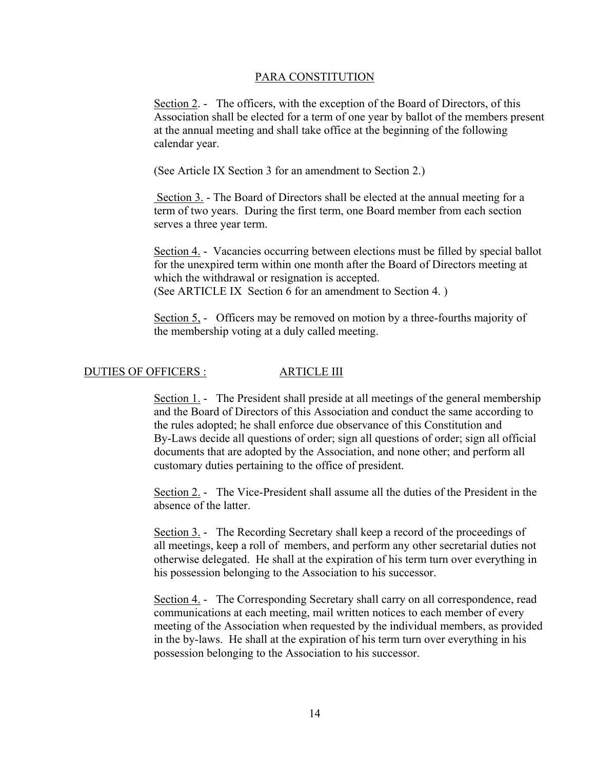Section 2. - The officers, with the exception of the Board of Directors, of this Association shall be elected for a term of one year by ballot of the members present at the annual meeting and shall take office at the beginning of the following calendar year.

(See Article IX Section 3 for an amendment to Section 2.)

 Section 3. - The Board of Directors shall be elected at the annual meeting for a term of two years. During the first term, one Board member from each section serves a three year term.

 Section 4. - Vacancies occurring between elections must be filled by special ballot for the unexpired term within one month after the Board of Directors meeting at which the withdrawal or resignation is accepted. (See ARTICLE IX Section 6 for an amendment to Section 4. )

 Section 5, - Officers may be removed on motion by a three-fourths majority of the membership voting at a duly called meeting.

## DUTIES OF OFFICERS : ARTICLE III

 Section 1. - The President shall preside at all meetings of the general membership and the Board of Directors of this Association and conduct the same according to the rules adopted; he shall enforce due observance of this Constitution and By-Laws decide all questions of order; sign all questions of order; sign all official documents that are adopted by the Association, and none other; and perform all customary duties pertaining to the office of president.

Section 2. - The Vice-President shall assume all the duties of the President in the absence of the latter.

Section 3. - The Recording Secretary shall keep a record of the proceedings of all meetings, keep a roll of members, and perform any other secretarial duties not otherwise delegated. He shall at the expiration of his term turn over everything in his possession belonging to the Association to his successor.

Section 4. - The Corresponding Secretary shall carry on all correspondence, read communications at each meeting, mail written notices to each member of every meeting of the Association when requested by the individual members, as provided in the by-laws. He shall at the expiration of his term turn over everything in his possession belonging to the Association to his successor.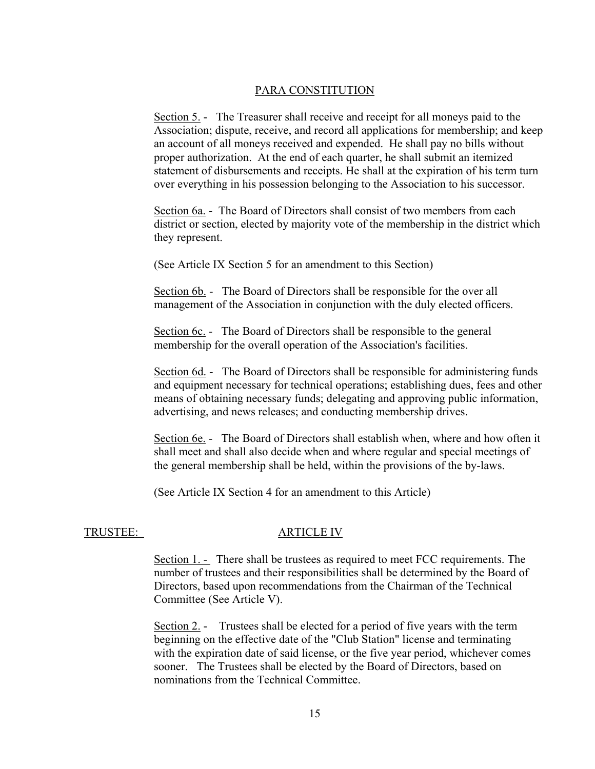Section 5. - The Treasurer shall receive and receipt for all moneys paid to the Association; dispute, receive, and record all applications for membership; and keep an account of all moneys received and expended. He shall pay no bills without proper authorization. At the end of each quarter, he shall submit an itemized statement of disbursements and receipts. He shall at the expiration of his term turn over everything in his possession belonging to the Association to his successor.

Section 6a. - The Board of Directors shall consist of two members from each district or section, elected by majority vote of the membership in the district which they represent.

(See Article IX Section 5 for an amendment to this Section)

Section 6b. - The Board of Directors shall be responsible for the over all management of the Association in conjunction with the duly elected officers.

Section 6c. - The Board of Directors shall be responsible to the general membership for the overall operation of the Association's facilities.

Section 6d. - The Board of Directors shall be responsible for administering funds and equipment necessary for technical operations; establishing dues, fees and other means of obtaining necessary funds; delegating and approving public information, advertising, and news releases; and conducting membership drives.

Section 6e. - The Board of Directors shall establish when, where and how often it shall meet and shall also decide when and where regular and special meetings of the general membership shall be held, within the provisions of the by-laws.

(See Article IX Section 4 for an amendment to this Article)

### TRUSTEE: ARTICLE IV

 Section 1. - There shall be trustees as required to meet FCC requirements. The number of trustees and their responsibilities shall be determined by the Board of Directors, based upon recommendations from the Chairman of the Technical Committee (See Article V).

 Section 2. - Trustees shall be elected for a period of five years with the term beginning on the effective date of the "Club Station" license and terminating with the expiration date of said license, or the five year period, whichever comes sooner. The Trustees shall be elected by the Board of Directors, based on nominations from the Technical Committee.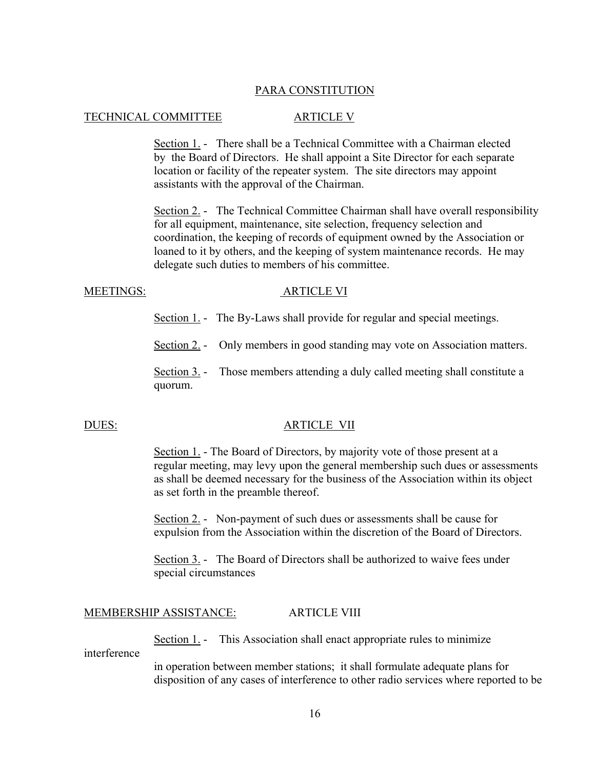### TECHNICAL COMMITTEE ARTICLE V

Section 1. - There shall be a Technical Committee with a Chairman elected by the Board of Directors. He shall appoint a Site Director for each separate location or facility of the repeater system. The site directors may appoint assistants with the approval of the Chairman.

 Section 2. - The Technical Committee Chairman shall have overall responsibility for all equipment, maintenance, site selection, frequency selection and coordination, the keeping of records of equipment owned by the Association or loaned to it by others, and the keeping of system maintenance records. He may delegate such duties to members of his committee.

### MEETINGS: ARTICLE VI

Section 1. - The By-Laws shall provide for regular and special meetings.

Section 2. - Only members in good standing may vote on Association matters.

Section 3. - Those members attending a duly called meeting shall constitute a quorum.

### DUES: ARTICLE VII

 Section 1. - The Board of Directors, by majority vote of those present at a regular meeting, may levy upon the general membership such dues or assessments as shall be deemed necessary for the business of the Association within its object as set forth in the preamble thereof.

 Section 2. - Non-payment of such dues or assessments shall be cause for expulsion from the Association within the discretion of the Board of Directors.

 Section 3. - The Board of Directors shall be authorized to waive fees under special circumstances

### MEMBERSHIP ASSISTANCE: ARTICLE VIII

Section 1. - This Association shall enact appropriate rules to minimize

interference

 in operation between member stations; it shall formulate adequate plans for disposition of any cases of interference to other radio services where reported to be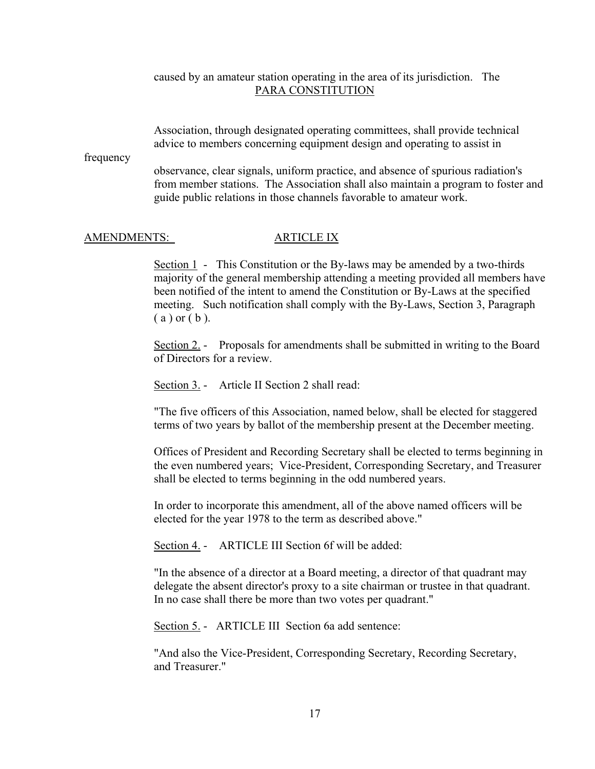### caused by an amateur station operating in the area of its jurisdiction. The PARA CONSTITUTION

 Association, through designated operating committees, shall provide technical advice to members concerning equipment design and operating to assist in

frequency

 observance, clear signals, uniform practice, and absence of spurious radiation's from member stations. The Association shall also maintain a program to foster and guide public relations in those channels favorable to amateur work.

### AMENDMENTS: ARTICLE IX

Section 1 - This Constitution or the By-laws may be amended by a two-thirds majority of the general membership attending a meeting provided all members have been notified of the intent to amend the Constitution or By-Laws at the specified meeting. Such notification shall comply with the By-Laws, Section 3, Paragraph  $(a)$  or  $(b)$ .

 Section 2. - Proposals for amendments shall be submitted in writing to the Board of Directors for a review.

Section 3. - Article II Section 2 shall read:

 "The five officers of this Association, named below, shall be elected for staggered terms of two years by ballot of the membership present at the December meeting.

 Offices of President and Recording Secretary shall be elected to terms beginning in the even numbered years; Vice-President, Corresponding Secretary, and Treasurer shall be elected to terms beginning in the odd numbered years.

 In order to incorporate this amendment, all of the above named officers will be elected for the year 1978 to the term as described above."

Section 4. - ARTICLE III Section 6f will be added:

 "In the absence of a director at a Board meeting, a director of that quadrant may delegate the absent director's proxy to a site chairman or trustee in that quadrant. In no case shall there be more than two votes per quadrant."

Section 5. - ARTICLE III Section 6a add sentence:

 "And also the Vice-President, Corresponding Secretary, Recording Secretary, and Treasurer."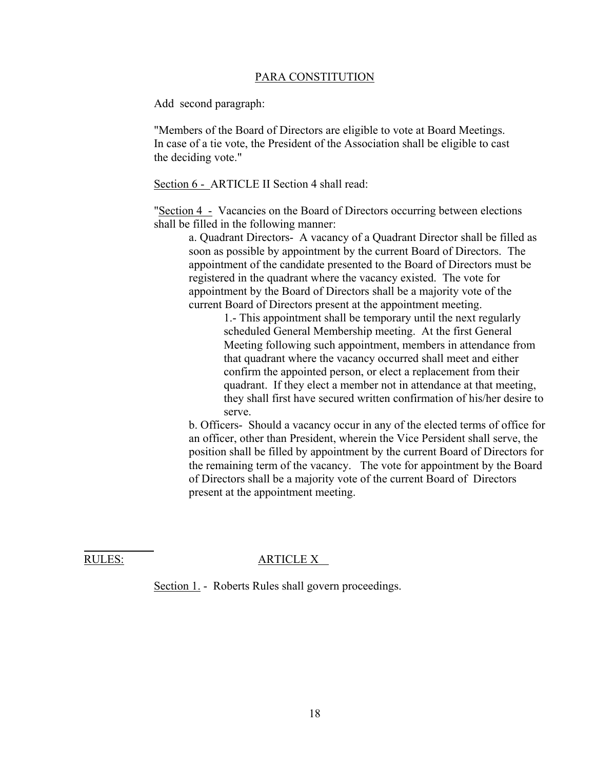Add second paragraph:

 "Members of the Board of Directors are eligible to vote at Board Meetings. In case of a tie vote, the President of the Association shall be eligible to cast the deciding vote."

Section 6 - ARTICLE II Section 4 shall read:

 "Section 4 - Vacancies on the Board of Directors occurring between elections shall be filled in the following manner:

 a. Quadrant Directors- A vacancy of a Quadrant Director shall be filled as soon as possible by appointment by the current Board of Directors. The appointment of the candidate presented to the Board of Directors must be registered in the quadrant where the vacancy existed. The vote for appointment by the Board of Directors shall be a majority vote of the current Board of Directors present at the appointment meeting.

> 1.- This appointment shall be temporary until the next regularly scheduled General Membership meeting. At the first General Meeting following such appointment, members in attendance from that quadrant where the vacancy occurred shall meet and either confirm the appointed person, or elect a replacement from their quadrant. If they elect a member not in attendance at that meeting, they shall first have secured written confirmation of his/her desire to serve.

 b. Officers- Should a vacancy occur in any of the elected terms of office for an officer, other than President, wherein the Vice Persident shall serve, the position shall be filled by appointment by the current Board of Directors for the remaining term of the vacancy. The vote for appointment by the Board of Directors shall be a majority vote of the current Board of Directors present at the appointment meeting.

l

### RULES: ARTICLE X

Section 1. - Roberts Rules shall govern proceedings.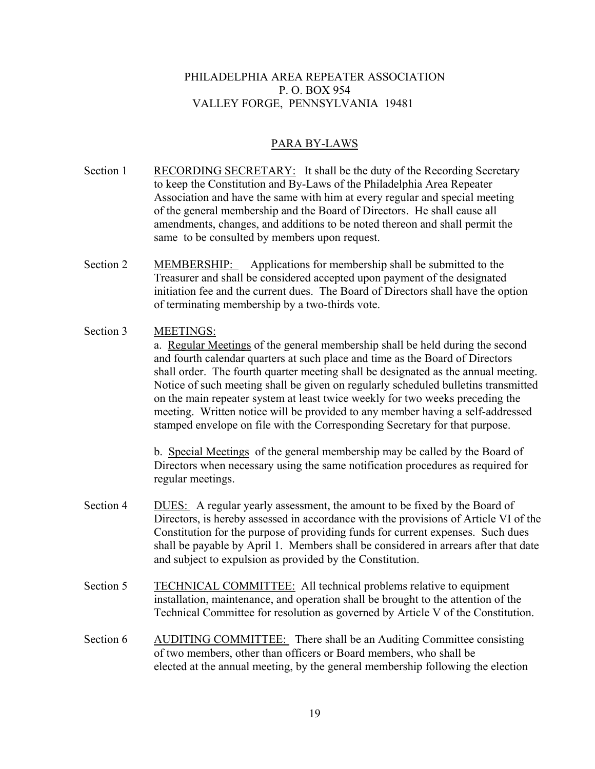## PHILADELPHIA AREA REPEATER ASSOCIATION P. O. BOX 954 VALLEY FORGE, PENNSYLVANIA 19481

## PARA BY-LAWS

- Section 1 RECORDING SECRETARY: It shall be the duty of the Recording Secretary to keep the Constitution and By-Laws of the Philadelphia Area Repeater Association and have the same with him at every regular and special meeting of the general membership and the Board of Directors. He shall cause all amendments, changes, and additions to be noted thereon and shall permit the same to be consulted by members upon request.
- Section 2 MEMBERSHIP: Applications for membership shall be submitted to the Treasurer and shall be considered accepted upon payment of the designated initiation fee and the current dues. The Board of Directors shall have the option of terminating membership by a two-thirds vote.

# Section 3 MEETINGS:

 a. Regular Meetings of the general membership shall be held during the second and fourth calendar quarters at such place and time as the Board of Directors shall order. The fourth quarter meeting shall be designated as the annual meeting. Notice of such meeting shall be given on regularly scheduled bulletins transmitted on the main repeater system at least twice weekly for two weeks preceding the meeting. Written notice will be provided to any member having a self-addressed stamped envelope on file with the Corresponding Secretary for that purpose.

 b. Special Meetings of the general membership may be called by the Board of Directors when necessary using the same notification procedures as required for regular meetings.

- Section 4 DUES: A regular yearly assessment, the amount to be fixed by the Board of Directors, is hereby assessed in accordance with the provisions of Article VI of the Constitution for the purpose of providing funds for current expenses. Such dues shall be payable by April 1. Members shall be considered in arrears after that date and subject to expulsion as provided by the Constitution.
- Section 5 TECHNICAL COMMITTEE: All technical problems relative to equipment installation, maintenance, and operation shall be brought to the attention of the Technical Committee for resolution as governed by Article V of the Constitution.
- Section 6 AUDITING COMMITTEE: There shall be an Auditing Committee consisting of two members, other than officers or Board members, who shall be elected at the annual meeting, by the general membership following the election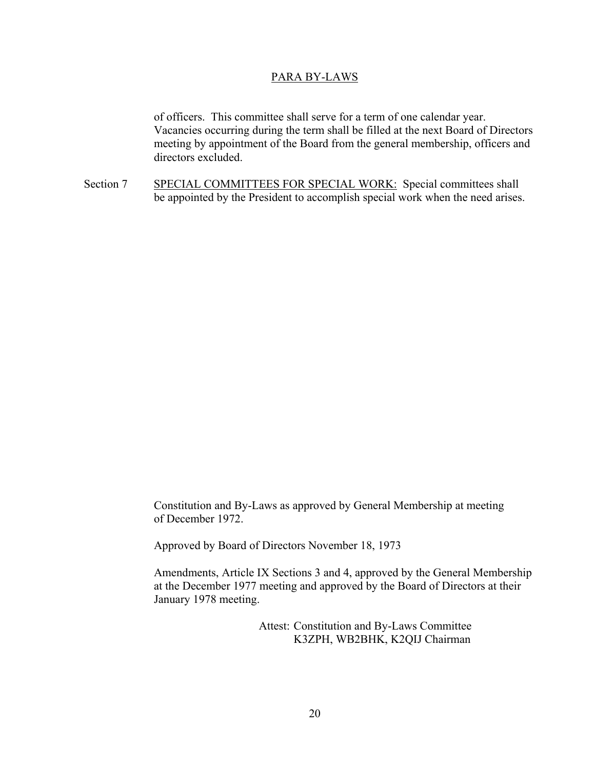### PARA BY-LAWS

 of officers. This committee shall serve for a term of one calendar year. Vacancies occurring during the term shall be filled at the next Board of Directors meeting by appointment of the Board from the general membership, officers and directors excluded.

Section 7 SPECIAL COMMITTEES FOR SPECIAL WORK: Special committees shall be appointed by the President to accomplish special work when the need arises.

> Constitution and By-Laws as approved by General Membership at meeting of December 1972.

Approved by Board of Directors November 18, 1973

 Amendments, Article IX Sections 3 and 4, approved by the General Membership at the December 1977 meeting and approved by the Board of Directors at their January 1978 meeting.

> Attest: Constitution and By-Laws Committee K3ZPH, WB2BHK, K2QIJ Chairman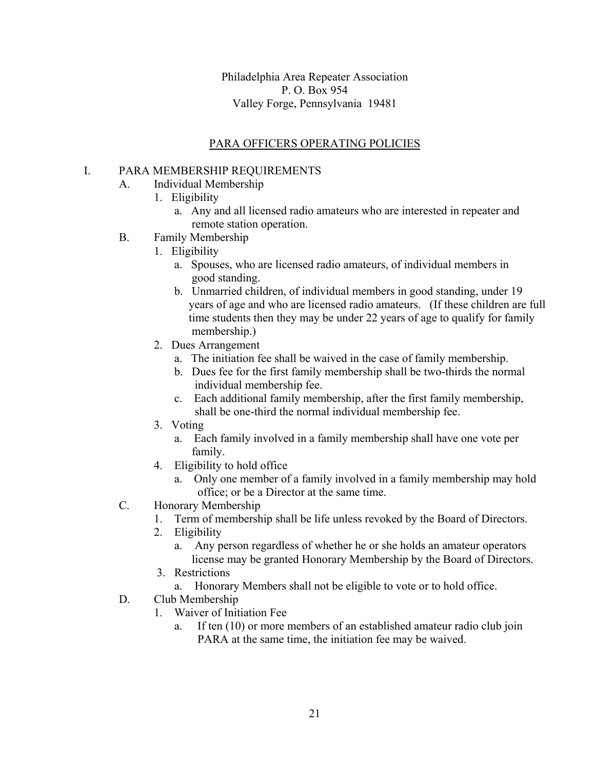Philadelphia Area Repeater Association P. O. Box 954 Valley Forge, Pennsylvania 19481

# PARA OFFICERS OPERATING POLICIES

## I. PARA MEMBERSHIP REQUIREMENTS

- A. Individual Membership
	- 1. Eligibility
		- a. Any and all licensed radio amateurs who are interested in repeater and remote station operation.
- B. Family Membership
	- 1. Eligibility
		- a. Spouses, who are licensed radio amateurs, of individual members in good standing.
		- b. Unmarried children, of individual members in good standing, under 19 years of age and who are licensed radio amateurs. (If these children are full time students then they may be under 22 years of age to qualify for family membership.)
		- 2. Dues Arrangement
			- a. The initiation fee shall be waived in the case of family membership.
			- b. Dues fee for the first family membership shall be two-thirds the normal individual membership fee.
			- c. Each additional family membership, after the first family membership, shall be one-third the normal individual membership fee.
		- 3. Voting
			- a. Each family involved in a family membership shall have one vote per family.
		- 4. Eligibility to hold office
			- a. Only one member of a family involved in a family membership may hold office; or be a Director at the same time.
- C. Honorary Membership
	- 1. Term of membership shall be life unless revoked by the Board of Directors.
	- 2. Eligibility
		- a. Any person regardless of whether he or she holds an amateur operators license may be granted Honorary Membership by the Board of Directors.
	- 3. Restrictions
		- a. Honorary Members shall not be eligible to vote or to hold office.
- D. Club Membership
	- 1. Waiver of Initiation Fee
		- a. If ten (10) or more members of an established amateur radio club join PARA at the same time, the initiation fee may be waived.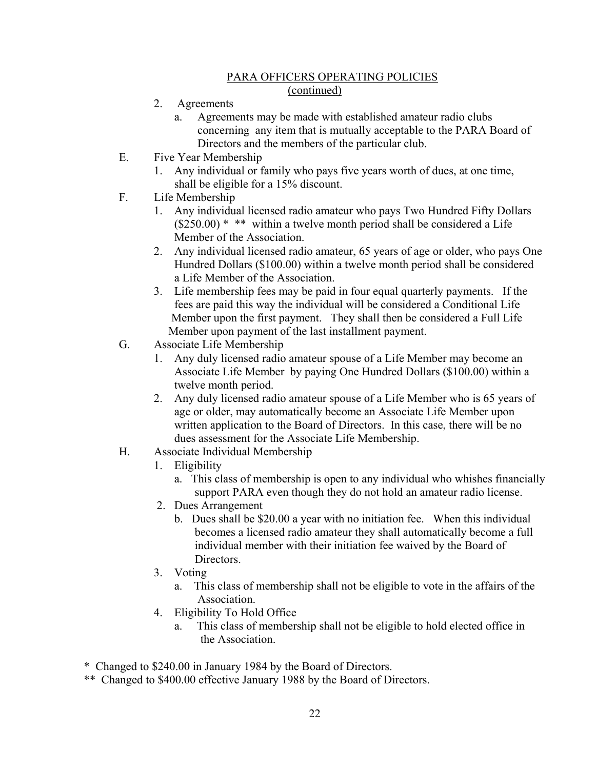- 2. Agreements
	- a. Agreements may be made with established amateur radio clubs concerning any item that is mutually acceptable to the PARA Board of Directors and the members of the particular club.
- E. Five Year Membership
	- 1. Any individual or family who pays five years worth of dues, at one time, shall be eligible for a 15% discount.
- F. Life Membership
	- 1. Any individual licensed radio amateur who pays Two Hundred Fifty Dollars  $($250.00)$ <sup>\*</sup> \*\* within a twelve month period shall be considered a Life Member of the Association.
	- 2. Any individual licensed radio amateur, 65 years of age or older, who pays One Hundred Dollars (\$100.00) within a twelve month period shall be considered a Life Member of the Association.
	- 3. Life membership fees may be paid in four equal quarterly payments. If the fees are paid this way the individual will be considered a Conditional Life Member upon the first payment. They shall then be considered a Full Life Member upon payment of the last installment payment.
- G. Associate Life Membership
	- 1. Any duly licensed radio amateur spouse of a Life Member may become an Associate Life Member by paying One Hundred Dollars (\$100.00) within a twelve month period.
	- 2. Any duly licensed radio amateur spouse of a Life Member who is 65 years of age or older, may automatically become an Associate Life Member upon written application to the Board of Directors. In this case, there will be no dues assessment for the Associate Life Membership.
- H. Associate Individual Membership
	- 1. Eligibility
		- a. This class of membership is open to any individual who whishes financially support PARA even though they do not hold an amateur radio license.
	- 2. Dues Arrangement
		- b. Dues shall be \$20.00 a year with no initiation fee. When this individual becomes a licensed radio amateur they shall automatically become a full individual member with their initiation fee waived by the Board of Directors.
	- 3. Voting
		- a. This class of membership shall not be eligible to vote in the affairs of the Association.
	- 4. Eligibility To Hold Office
		- a. This class of membership shall not be eligible to hold elected office in the Association.

\* Changed to \$240.00 in January 1984 by the Board of Directors.

\*\* Changed to \$400.00 effective January 1988 by the Board of Directors.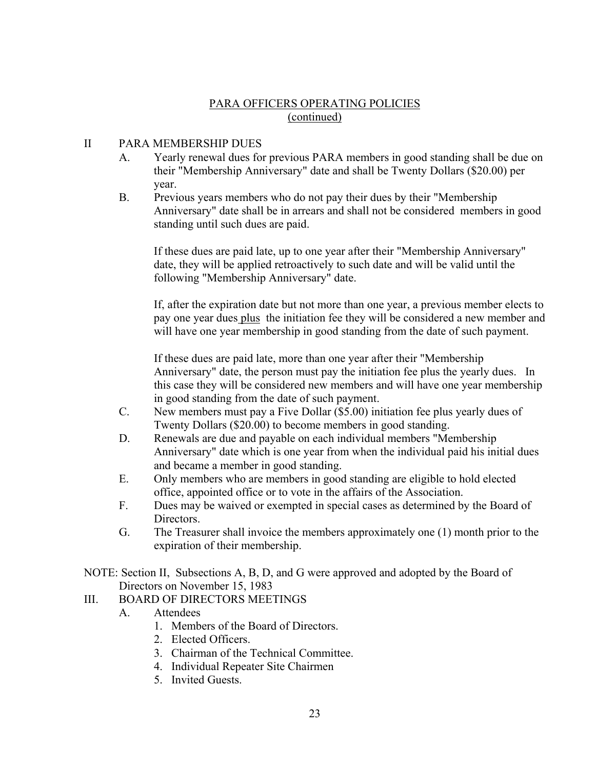# II PARA MEMBERSHIP DUES

- A. Yearly renewal dues for previous PARA members in good standing shall be due on their "Membership Anniversary" date and shall be Twenty Dollars (\$20.00) per year.
- B. Previous years members who do not pay their dues by their "Membership" Anniversary" date shall be in arrears and shall not be considered members in good standing until such dues are paid.

 If these dues are paid late, up to one year after their "Membership Anniversary" date, they will be applied retroactively to such date and will be valid until the following "Membership Anniversary" date.

 If, after the expiration date but not more than one year, a previous member elects to pay one year dues plus the initiation fee they will be considered a new member and will have one year membership in good standing from the date of such payment.

 If these dues are paid late, more than one year after their "Membership Anniversary" date, the person must pay the initiation fee plus the yearly dues. In this case they will be considered new members and will have one year membership in good standing from the date of such payment.

- C. New members must pay a Five Dollar (\$5.00) initiation fee plus yearly dues of Twenty Dollars (\$20.00) to become members in good standing.
- D. Renewals are due and payable on each individual members "Membership Anniversary" date which is one year from when the individual paid his initial dues and became a member in good standing.
- E. Only members who are members in good standing are eligible to hold elected office, appointed office or to vote in the affairs of the Association.
- F. Dues may be waived or exempted in special cases as determined by the Board of Directors.
- G. The Treasurer shall invoice the members approximately one (1) month prior to the expiration of their membership.

NOTE: Section II, Subsections A, B, D, and G were approved and adopted by the Board of Directors on November 15, 1983

# III. BOARD OF DIRECTORS MEETINGS

- A. Attendees
	- 1. Members of the Board of Directors.
	- 2. Elected Officers.
	- 3. Chairman of the Technical Committee.
	- 4. Individual Repeater Site Chairmen
	- 5. Invited Guests.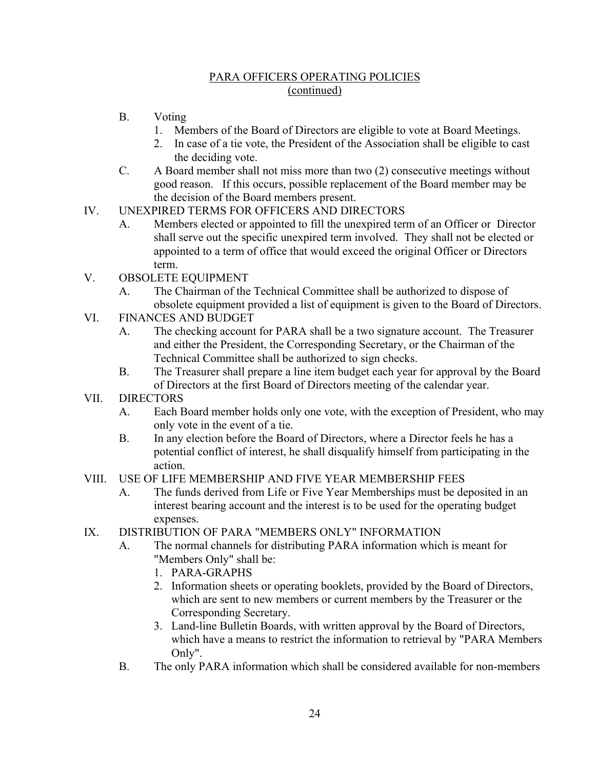- B. Voting
	- 1. Members of the Board of Directors are eligible to vote at Board Meetings.
	- 2. In case of a tie vote, the President of the Association shall be eligible to cast the deciding vote.
- C. A Board member shall not miss more than two (2) consecutive meetings without good reason. If this occurs, possible replacement of the Board member may be the decision of the Board members present.
- IV. UNEXPIRED TERMS FOR OFFICERS AND DIRECTORS
	- A. Members elected or appointed to fill the unexpired term of an Officer or Director shall serve out the specific unexpired term involved. They shall not be elected or appointed to a term of office that would exceed the original Officer or Directors term.
- V. OBSOLETE EQUIPMENT
	- A. The Chairman of the Technical Committee shall be authorized to dispose of obsolete equipment provided a list of equipment is given to the Board of Directors.
- VI. FINANCES AND BUDGET
	- A. The checking account for PARA shall be a two signature account. The Treasurer and either the President, the Corresponding Secretary, or the Chairman of the Technical Committee shall be authorized to sign checks.
	- B. The Treasurer shall prepare a line item budget each year for approval by the Board of Directors at the first Board of Directors meeting of the calendar year.
- VII. DIRECTORS
	- A. Each Board member holds only one vote, with the exception of President, who may only vote in the event of a tie.
	- B. In any election before the Board of Directors, where a Director feels he has a potential conflict of interest, he shall disqualify himself from participating in the action.

# VIII. USE OF LIFE MEMBERSHIP AND FIVE YEAR MEMBERSHIP FEES

- A. The funds derived from Life or Five Year Memberships must be deposited in an interest bearing account and the interest is to be used for the operating budget expenses.
- IX. DISTRIBUTION OF PARA "MEMBERS ONLY" INFORMATION
	- A. The normal channels for distributing PARA information which is meant for "Members Only" shall be:
		- 1. PARA-GRAPHS
		- 2. Information sheets or operating booklets, provided by the Board of Directors, which are sent to new members or current members by the Treasurer or the Corresponding Secretary.
		- 3. Land-line Bulletin Boards, with written approval by the Board of Directors, which have a means to restrict the information to retrieval by "PARA Members Only".
	- B. The only PARA information which shall be considered available for non-members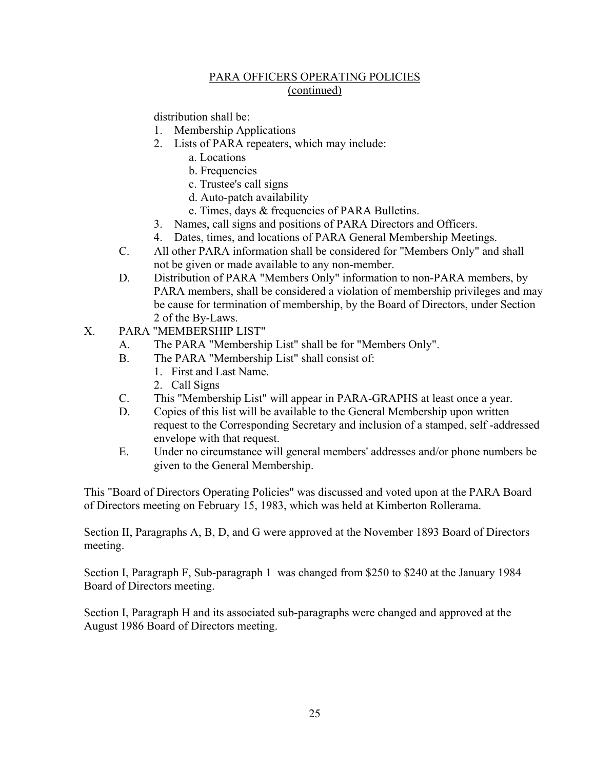distribution shall be:

- 1. Membership Applications
- 2. Lists of PARA repeaters, which may include:
	- a. Locations
	- b. Frequencies
	- c. Trustee's call signs
	- d. Auto-patch availability
	- e. Times, days & frequencies of PARA Bulletins.
- 3. Names, call signs and positions of PARA Directors and Officers.
- 4. Dates, times, and locations of PARA General Membership Meetings.
- C. All other PARA information shall be considered for "Members Only" and shall not be given or made available to any non-member.
- D. Distribution of PARA "Members Only" information to non-PARA members, by PARA members, shall be considered a violation of membership privileges and may be cause for termination of membership, by the Board of Directors, under Section 2 of the By-Laws.
- X. PARA "MEMBERSHIP LIST"
	- A. The PARA "Membership List" shall be for "Members Only".
	- B. The PARA "Membership List" shall consist of:
		- 1. First and Last Name.
		- 2. Call Signs
	- C. This "Membership List" will appear in PARA-GRAPHS at least once a year.
	- D. Copies of this list will be available to the General Membership upon written request to the Corresponding Secretary and inclusion of a stamped, self -addressed envelope with that request.
	- E. Under no circumstance will general members' addresses and/or phone numbers be given to the General Membership.

This "Board of Directors Operating Policies" was discussed and voted upon at the PARA Board of Directors meeting on February 15, 1983, which was held at Kimberton Rollerama.

Section II, Paragraphs A, B, D, and G were approved at the November 1893 Board of Directors meeting.

Section I, Paragraph F, Sub-paragraph 1 was changed from \$250 to \$240 at the January 1984 Board of Directors meeting.

Section I, Paragraph H and its associated sub-paragraphs were changed and approved at the August 1986 Board of Directors meeting.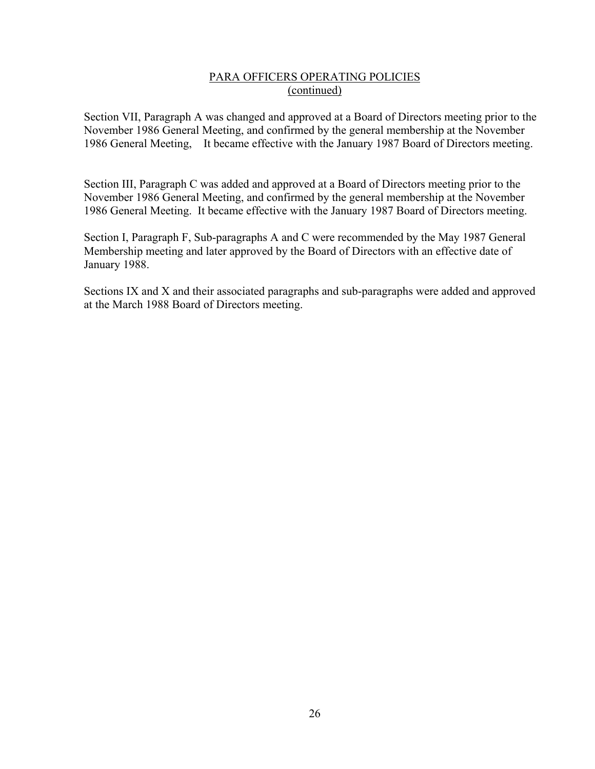Section VII, Paragraph A was changed and approved at a Board of Directors meeting prior to the November 1986 General Meeting, and confirmed by the general membership at the November 1986 General Meeting, It became effective with the January 1987 Board of Directors meeting.

Section III, Paragraph C was added and approved at a Board of Directors meeting prior to the November 1986 General Meeting, and confirmed by the general membership at the November 1986 General Meeting. It became effective with the January 1987 Board of Directors meeting.

Section I, Paragraph F, Sub-paragraphs A and C were recommended by the May 1987 General Membership meeting and later approved by the Board of Directors with an effective date of January 1988.

Sections IX and X and their associated paragraphs and sub-paragraphs were added and approved at the March 1988 Board of Directors meeting.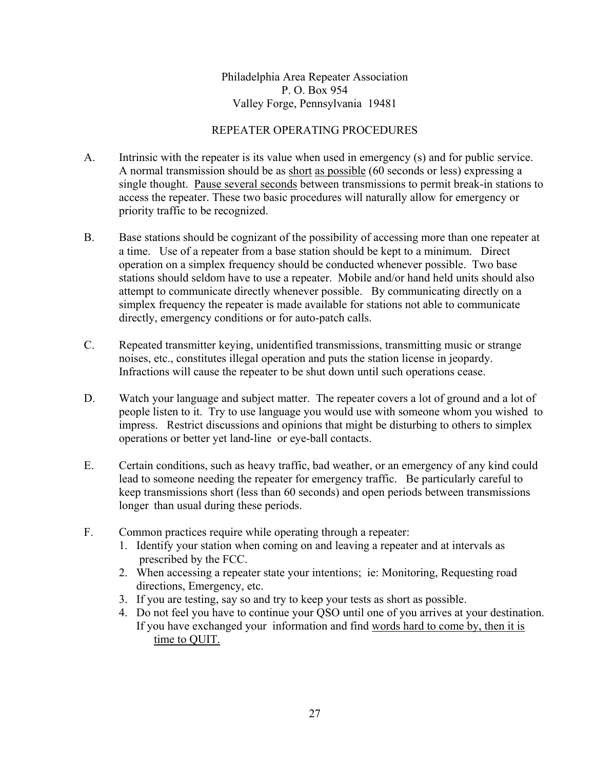Philadelphia Area Repeater Association P. O. Box 954 Valley Forge, Pennsylvania 19481

## REPEATER OPERATING PROCEDURES

- A. Intrinsic with the repeater is its value when used in emergency (s) and for public service. A normal transmission should be as short as possible (60 seconds or less) expressing a single thought. Pause several seconds between transmissions to permit break-in stations to access the repeater. These two basic procedures will naturally allow for emergency or priority traffic to be recognized.
- B. Base stations should be cognizant of the possibility of accessing more than one repeater at a time. Use of a repeater from a base station should be kept to a minimum. Direct operation on a simplex frequency should be conducted whenever possible. Two base stations should seldom have to use a repeater. Mobile and/or hand held units should also attempt to communicate directly whenever possible. By communicating directly on a simplex frequency the repeater is made available for stations not able to communicate directly, emergency conditions or for auto-patch calls.
- C. Repeated transmitter keying, unidentified transmissions, transmitting music or strange noises, etc., constitutes illegal operation and puts the station license in jeopardy. Infractions will cause the repeater to be shut down until such operations cease.
- D. Watch your language and subject matter. The repeater covers a lot of ground and a lot of people listen to it. Try to use language you would use with someone whom you wished to impress. Restrict discussions and opinions that might be disturbing to others to simplex operations or better yet land-line or eye-ball contacts.
- E. Certain conditions, such as heavy traffic, bad weather, or an emergency of any kind could lead to someone needing the repeater for emergency traffic. Be particularly careful to keep transmissions short (less than 60 seconds) and open periods between transmissions longer than usual during these periods.
- F. Common practices require while operating through a repeater:
	- 1. Identify your station when coming on and leaving a repeater and at intervals as prescribed by the FCC.
	- 2. When accessing a repeater state your intentions; ie: Monitoring, Requesting road directions, Emergency, etc.
	- 3. If you are testing, say so and try to keep your tests as short as possible.
	- 4. Do not feel you have to continue your QSO until one of you arrives at your destination. If you have exchanged your information and find words hard to come by, then it is time to QUIT.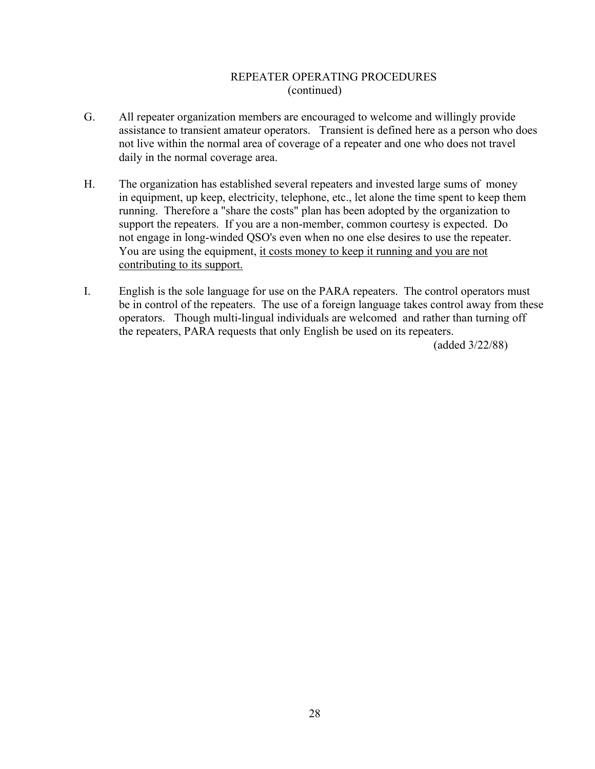## REPEATER OPERATING PROCEDURES (continued)

- G. All repeater organization members are encouraged to welcome and willingly provide assistance to transient amateur operators. Transient is defined here as a person who does not live within the normal area of coverage of a repeater and one who does not travel daily in the normal coverage area.
- H. The organization has established several repeaters and invested large sums of money in equipment, up keep, electricity, telephone, etc., let alone the time spent to keep them running. Therefore a "share the costs" plan has been adopted by the organization to support the repeaters. If you are a non-member, common courtesy is expected. Do not engage in long-winded QSO's even when no one else desires to use the repeater. You are using the equipment, it costs money to keep it running and you are not contributing to its support.
- I. English is the sole language for use on the PARA repeaters. The control operators must be in control of the repeaters. The use of a foreign language takes control away from these operators. Though multi-lingual individuals are welcomed and rather than turning off the repeaters, PARA requests that only English be used on its repeaters.

(added 3/22/88)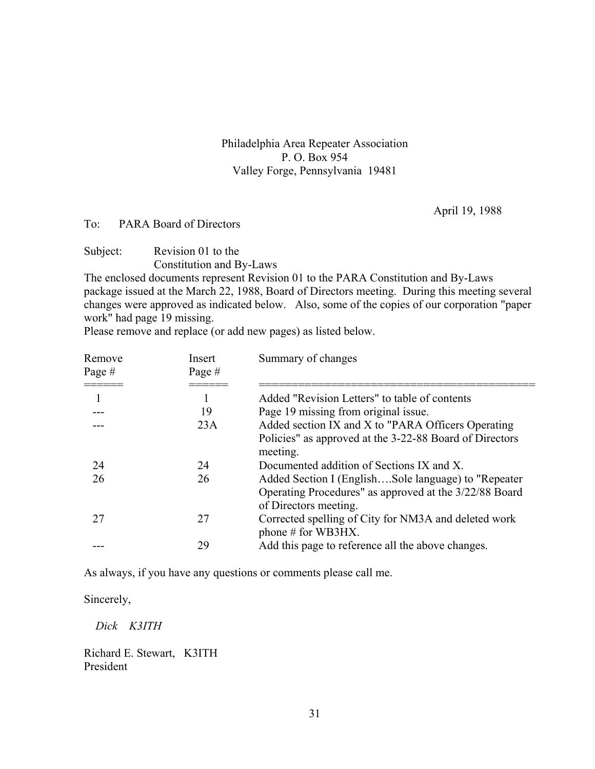Philadelphia Area Repeater Association P. O. Box 954 Valley Forge, Pennsylvania 19481

April 19, 1988

### To: PARA Board of Directors

Subject: Revision 01 to the Constitution and By-Laws

The enclosed documents represent Revision 01 to the PARA Constitution and By-Laws package issued at the March 22, 1988, Board of Directors meeting. During this meeting several changes were approved as indicated below. Also, some of the copies of our corporation "paper work" had page 19 missing.

Please remove and replace (or add new pages) as listed below.

| Remove<br>Page#<br>==== | Insert<br>Page $#$ | Summary of changes                                                                                                                      |
|-------------------------|--------------------|-----------------------------------------------------------------------------------------------------------------------------------------|
|                         |                    | Added "Revision Letters" to table of contents                                                                                           |
|                         | 19                 | Page 19 missing from original issue.                                                                                                    |
|                         | 23A                | Added section IX and X to "PARA Officers Operating<br>Policies" as approved at the 3-22-88 Board of Directors<br>meeting.               |
| 24                      | 24                 | Documented addition of Sections IX and X.                                                                                               |
| 26                      | 26                 | Added Section I (EnglishSole language) to "Repeater"<br>Operating Procedures" as approved at the 3/22/88 Board<br>of Directors meeting. |
| 27                      | 27                 | Corrected spelling of City for NM3A and deleted work<br>phone $#$ for WB3HX.                                                            |
|                         | 29                 | Add this page to reference all the above changes.                                                                                       |

As always, if you have any questions or comments please call me.

Sincerely,

 *Dick K3ITH* 

Richard E. Stewart, K3ITH President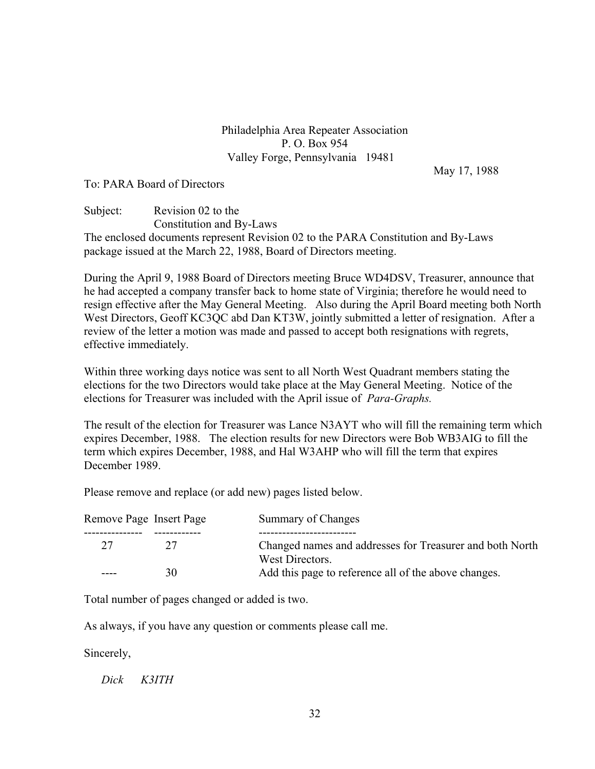## Philadelphia Area Repeater Association P. O. Box 954 Valley Forge, Pennsylvania 19481

May 17, 1988

### To: PARA Board of Directors

Subject: Revision 02 to the Constitution and By-Laws The enclosed documents represent Revision 02 to the PARA Constitution and By-Laws package issued at the March 22, 1988, Board of Directors meeting.

During the April 9, 1988 Board of Directors meeting Bruce WD4DSV, Treasurer, announce that he had accepted a company transfer back to home state of Virginia; therefore he would need to resign effective after the May General Meeting. Also during the April Board meeting both North West Directors, Geoff KC3QC abd Dan KT3W, jointly submitted a letter of resignation. After a review of the letter a motion was made and passed to accept both resignations with regrets, effective immediately.

Within three working days notice was sent to all North West Quadrant members stating the elections for the two Directors would take place at the May General Meeting. Notice of the elections for Treasurer was included with the April issue of *Para-Graphs.* 

The result of the election for Treasurer was Lance N3AYT who will fill the remaining term which expires December, 1988. The election results for new Directors were Bob WB3AIG to fill the term which expires December, 1988, and Hal W3AHP who will fill the term that expires December 1989.

Please remove and replace (or add new) pages listed below.

| Remove Page Insert Page |    | Summary of Changes                                                          |  |
|-------------------------|----|-----------------------------------------------------------------------------|--|
|                         |    |                                                                             |  |
| 27                      | 27 | Changed names and addresses for Treasurer and both North<br>West Directors. |  |
|                         | 30 | Add this page to reference all of the above changes.                        |  |

Total number of pages changed or added is two.

As always, if you have any question or comments please call me.

Sincerely,

 *Dick K3ITH*